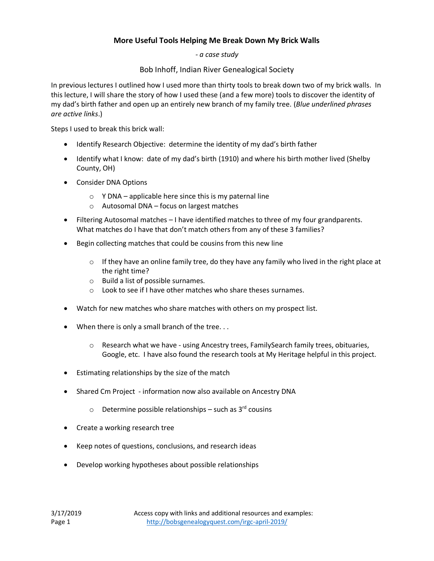## **More Useful Tools Helping Me Break Down My Brick Walls**

*- a case study*

Bob Inhoff, Indian River Genealogical Society

In previous lectures I outlined how I used more than thirty tools to break down two of my brick walls. In this lecture, I will share the story of how I used these (and a few more) tools to discover the identity of my dad's birth father and open up an entirely new branch of my family tree. (*Blue underlined phrases are active links*.)

Steps I used to break this brick wall:

- Identify Research Objective: determine the identity of my dad's birth father
- Identify what I know: date of my dad's birth (1910) and where his birth mother lived (Shelby County, OH)
- Consider DNA Options
	- $\circ$  Y DNA applicable here since this is my paternal line
	- o Autosomal DNA focus on largest matches
- Filtering Autosomal matches I have identified matches to three of my four grandparents. What matches do I have that don't match others from any of these 3 families?
- Begin collecting matches that could be cousins from this new line
	- $\circ$  If they have an online family tree, do they have any family who lived in the right place at the right time?
	- o Build a list of possible surnames.
	- o Look to see if I have other matches who share theses surnames.
- Watch for new matches who share matches with others on my prospect list.
- When there is only a small branch of the tree. . .
	- $\circ$  Research what we have using Ancestry trees, Family Search family trees, obituaries, Google, etc. I have also found the research tools at My Heritage helpful in this project.
- Estimating relationships by the size of the match
- Shared Cm Project information now also available on Ancestry DNA
	- $\circ$  Determine possible relationships such as 3<sup>rd</sup> cousins
- Create a working research tree
- Keep notes of questions, conclusions, and research ideas
- Develop working hypotheses about possible relationships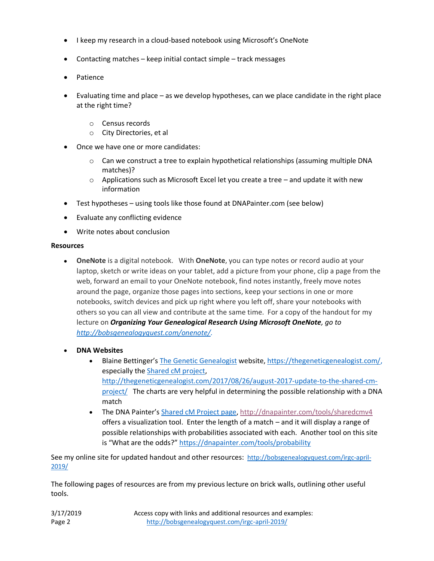- I keep my research in a cloud-based notebook using Microsoft's OneNote
- Contacting matches keep initial contact simple track messages
- Patience
- Evaluating time and place as we develop hypotheses, can we place candidate in the right place at the right time?
	- o Census records
	- o City Directories, et al
- Once we have one or more candidates:
	- $\circ$  Can we construct a tree to explain hypothetical relationships (assuming multiple DNA matches)?
	- $\circ$  Applications such as Microsoft Excel let you create a tree and update it with new information
- Test hypotheses using tools like those found at DNAPainter.com (see below)
- Evaluate any conflicting evidence
- Write notes about conclusion

## **Resources**

- **OneNote** is a digital notebook. With **OneNote**, you can type notes or record audio at your laptop, sketch or write ideas on your tablet, add a picture from your phone, clip a page from the web, forward an email to your OneNote notebook, find notes instantly, freely move notes around the page, organize those pages into sections, keep your sections in one or more notebooks, switch devices and pick up right where you left off, share your notebooks with others so you can all view and contribute at the same time. For a copy of the handout for my lecture on *Organizing Your Genealogical Research Using Microsoft OneNote, go to [http://bobsgenealogyquest.com/onenote/.](http://bobsgenealogyquest.com/onenote/)*
- **DNA Websites**
	- Blaine Bettinger's [The Genetic Genealogist](https://thegeneticgenealogist.com/) website, [https://thegeneticgenealogist.com/,](https://thegeneticgenealogist.com/) especially the [Shared cM project,](https://thegeneticgenealogist.com/2017/08/26/august-2017-update-to-the-shared-cm-project/) [http://thegeneticgenealogist.com/2017/08/26/august-2017-update-to-the-shared-cm](http://thegeneticgenealogist.com/2017/08/26/august-2017-update-to-the-shared-cm-project/)[project/](http://thegeneticgenealogist.com/2017/08/26/august-2017-update-to-the-shared-cm-project/) The charts are very helpful in determining the possible relationship with a DNA match
	- The DNA Painter's [Shared cM Project page,](https://dnapainter.com/tools/sharedcmv4)<http://dnapainter.com/tools/sharedcmv4> offers a visualization tool. Enter the length of a match – and it will display a range of possible relationships with probabilities associated with each. Another tool on this site is "What are the odds?" <https://dnapainter.com/tools/probability>

See my online site for updated handout and other resources: [http://bobsgenealogyquest.com/irgc-april-](http://bobsgenealogyquest.com/irgc-april-2019/)[2019/](http://bobsgenealogyquest.com/irgc-april-2019/)

The following pages of resources are from my previous lecture on brick walls, outlining other useful tools.

| 3/17/2019 | Access copy with links and additional resources and examples: |
|-----------|---------------------------------------------------------------|
| Page 2    | http://bobsgenealogyquest.com/irgc-april-2019/                |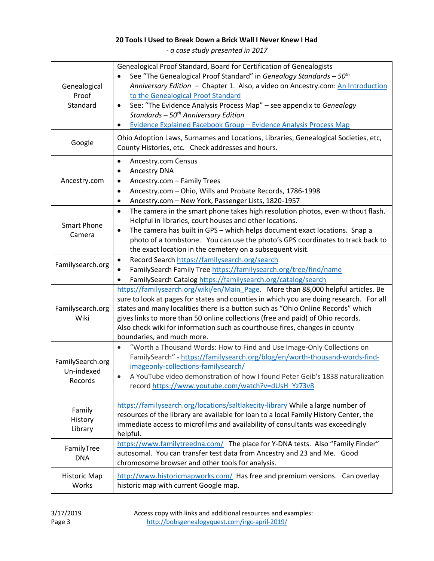## **20 Tools I Used to Break Down a Brick Wall I Never Knew I Had**

*- a case study presented in 2017*

| Genealogical<br>Proof<br>Standard         | Genealogical Proof Standard, Board for Certification of Genealogists<br>See "The Genealogical Proof Standard" in Genealogy Standards $-50th$<br>Anniversary Edition - Chapter 1. Also, a video on Ancestry.com: An Introduction<br>to the Genealogical Proof Standard<br>See: "The Evidence Analysis Process Map" - see appendix to Genealogy<br>$\bullet$<br>Standards $-50th$ Anniversary Edition<br>Evidence Explained Facebook Group - Evidence Analysis Process Map |
|-------------------------------------------|--------------------------------------------------------------------------------------------------------------------------------------------------------------------------------------------------------------------------------------------------------------------------------------------------------------------------------------------------------------------------------------------------------------------------------------------------------------------------|
| Google                                    | Ohio Adoption Laws, Surnames and Locations, Libraries, Genealogical Societies, etc,<br>County Histories, etc. Check addresses and hours.                                                                                                                                                                                                                                                                                                                                 |
| Ancestry.com                              | Ancestry.com Census<br>$\bullet$<br>Ancestry DNA<br>Ancestry.com - Family Trees<br>٠<br>Ancestry.com - Ohio, Wills and Probate Records, 1786-1998<br>$\bullet$<br>Ancestry.com - New York, Passenger Lists, 1820-1957<br>٠                                                                                                                                                                                                                                               |
| <b>Smart Phone</b><br>Camera              | The camera in the smart phone takes high resolution photos, even without flash.<br>$\bullet$<br>Helpful in libraries, court houses and other locations.<br>The camera has built in GPS - which helps document exact locations. Snap a<br>$\bullet$<br>photo of a tombstone. You can use the photo's GPS coordinates to track back to<br>the exact location in the cemetery on a subsequent visit.                                                                        |
| Familysearch.org                          | Record Search https://familysearch.org/search<br>$\bullet$<br>FamilySearch Family Tree https://familysearch.org/tree/find/name<br>FamilySearch Catalog https://familysearch.org/catalog/search                                                                                                                                                                                                                                                                           |
| Familysearch.org<br>Wiki                  | https://familysearch.org/wiki/en/Main Page. More than 88,000 helpful articles. Be<br>sure to look at pages for states and counties in which you are doing research. For all<br>states and many localities there is a button such as "Ohio Online Records" which<br>gives links to more than 50 online collections (free and paid) of Ohio records.<br>Also check wiki for information such as courthouse fires, changes in county<br>boundaries, and much more.          |
| FamilySearch.org<br>Un-indexed<br>Records | "Worth a Thousand Words: How to Find and Use Image-Only Collections on<br>$\bullet$<br>FamilySearch" - https://familysearch.org/blog/en/worth-thousand-words-find-<br>imageonly-collections-familysearch/<br>A YouTube video demonstration of how I found Peter Geib's 1838 naturalization<br>record https://www.youtube.com/watch?v=dUsH Yz73v8                                                                                                                         |
| Family<br>History<br>Library              | https://familysearch.org/locations/saltlakecity-library While a large number of<br>resources of the library are available for loan to a local Family History Center, the<br>immediate access to microfilms and availability of consultants was exceedingly<br>helpful.                                                                                                                                                                                                   |
| FamilyTree<br><b>DNA</b>                  | https://www.familytreedna.com/ The place for Y-DNA tests. Also "Family Finder"<br>autosomal. You can transfer test data from Ancestry and 23 and Me. Good<br>chromosome browser and other tools for analysis.                                                                                                                                                                                                                                                            |
| <b>Historic Map</b><br>Works              | http://www.historicmapworks.com/ Has free and premium versions. Can overlay<br>historic map with current Google map.                                                                                                                                                                                                                                                                                                                                                     |

3/17/2019 Access copy with links and additional resources and examples: Page 3 <http://bobsgenealogyquest.com/irgc-april-2019/>